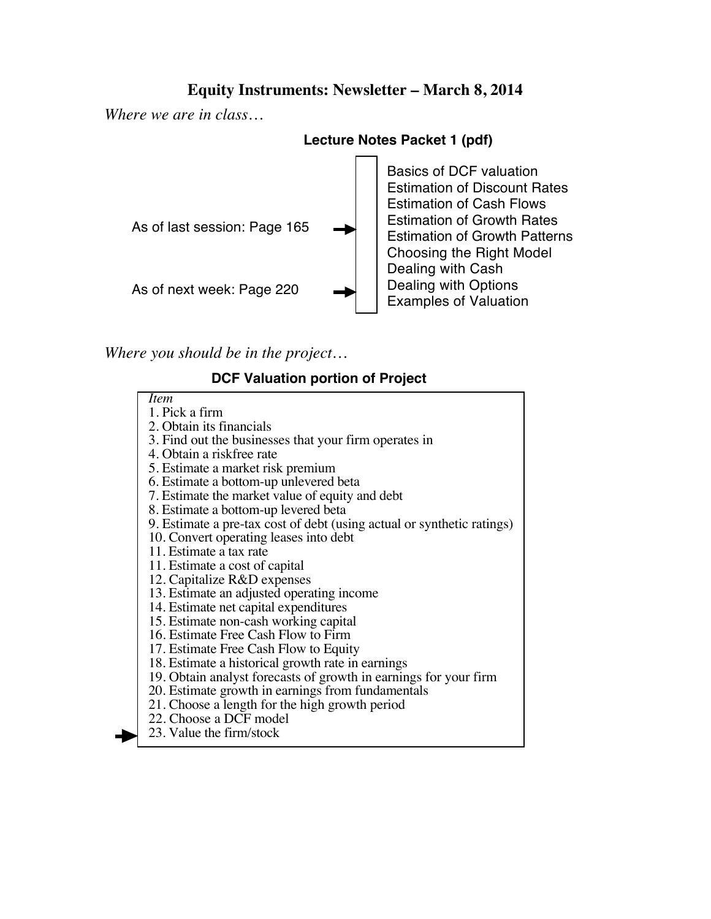# **Equity Instruments: Newsletter – March 8, 2014**

*Where we are in class…*



*Where you should be in the project…*

### **DCF Valuation portion of Project**

| <i>Item</i>                                                            |
|------------------------------------------------------------------------|
| 1. Pick a firm                                                         |
| 2. Obtain its financials                                               |
| 3. Find out the businesses that your firm operates in                  |
| 4. Obtain a riskfree rate                                              |
| 5. Estimate a market risk premium                                      |
| 6. Estimate a bottom-up unlevered beta                                 |
| 7. Estimate the market value of equity and debt                        |
| 8. Estimate a bottom-up levered beta                                   |
| 9. Estimate a pre-tax cost of debt (using actual or synthetic ratings) |
| 10. Convert operating leases into debt                                 |
| 11. Estimate a tax rate                                                |
| 11. Estimate a cost of capital                                         |
| 12. Capitalize R&D expenses                                            |
| 13. Estimate an adjusted operating income                              |
| 14. Estimate net capital expenditures                                  |
| 15. Estimate non-cash working capital                                  |
| 16. Estimate Free Cash Flow to Firm                                    |
| 17. Estimate Free Cash Flow to Equity                                  |
| 18. Estimate a historical growth rate in earnings                      |
| 19. Obtain analyst forecasts of growth in earnings for your firm       |
| 20. Estimate growth in earnings from fundamentals                      |
| 21. Choose a length for the high growth period                         |
| 22. Choose a DCF model                                                 |
| 23. Value the firm/stock                                               |